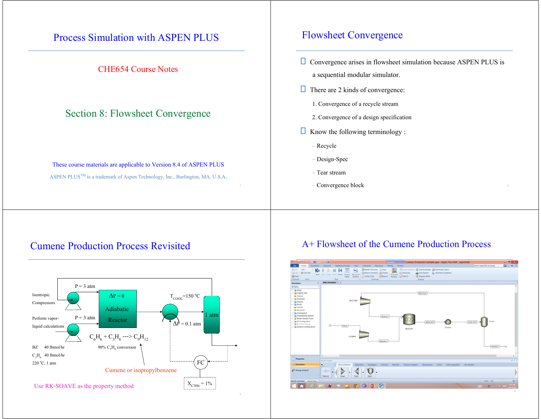

# Cumene Production Process Revisited



### A+ Flowsheet of the Cumene Production Process

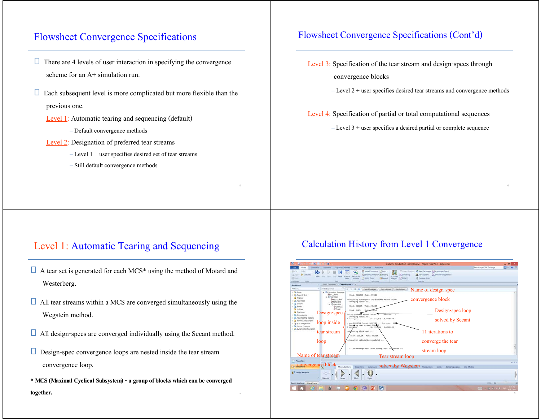# Flowsheet Convergence Specifications

- $\Box$  There are 4 levels of user interaction in specifying the convergence scheme for an  $A+$  simulation run.
- $\Box$  Each subsequent level is more complicated but more flexible than the previous one.
	- Level 1: Automatic tearing and sequencing (default)
		- Default convergence methods
	- Level 2: Designation of preferred tear streams
		- Level 1 + user specifies desired set of tear streams
		- Still default convergence methods

#### Flowsheet Convergence Specifications (Cont'd)

- Level 3: Specification of the tear stream and design-specs through convergence blocks
	- Level 2 + user specifies desired tear streams and convergence methods

Level 4: Specification of partial or total computational sequences

– Level 3 + user specifies a desired partial or complete sequence

### Level 1: Automatic Tearing and Sequencing

- $\Box$  A tear set is generated for each MCS\* using the method of Motard and Westerberg.
- $\Box$  All tear streams within a MCS are converged simultaneously using the Wegstein method.
- $\Box$  All design-specs are converged individually using the Secant method.
- $\square$  Design-spec convergence loops are nested inside the tear stream convergence loop.
- **\* MCS (Maximal Cyclical Subsystem) - a group of blocks which can be converged**

#### Calculation History from Level 1 Convergence

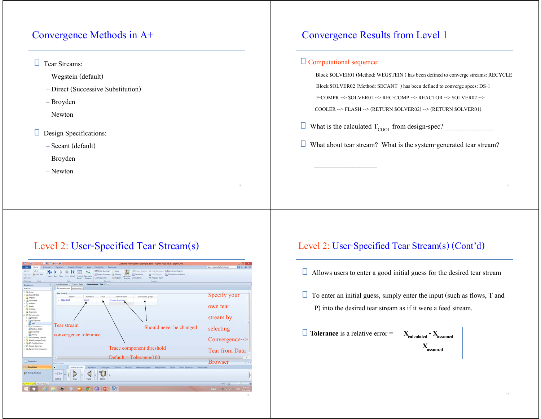# Convergence Methods in A+

#### **T** Tear Streams:

- Wegstein (default)
- Direct (Successive Substitution)
- Broyden
- Newton

#### Design Specifications:

- Secant (default)
- Broyden
- Newton

# Convergence Results from Level 1

#### Computational sequence:

 $\mathcal{L}_\mathcal{L}$  , and the set of the set of the set of the set of the set of the set of the set of the set of the set of the set of the set of the set of the set of the set of the set of the set of the set of the set of th

 Block \$OLVER01 (Method: WEGSTEIN ) has been defined to converge streams: RECYCLE Block \$OLVER02 (Method: SECANT ) has been defined to converge specs: DS-1 F-COMPR --> \$OLVER01 --> REC-COMP --> REACTOR --> \$OLVER02 -->

COOLER --> FLASH --> (RETURN \$OLVER02) --> (RETURN \$OLVER01)

- What is the calculated TCOOL from design-spec? \_\_\_\_\_\_\_\_\_\_\_\_\_\_
- □ What about tear stream? What is the system-generated tear stream?

# Level 2: User-Specified Tear Stream(s)

| N <sub>0</sub>                          | $B = 14$<br>Cumene Production Example.apw - Aspen Plus VII.4 - aspenONE                                                                                                                                                 | - 8                               |
|-----------------------------------------|-------------------------------------------------------------------------------------------------------------------------------------------------------------------------------------------------------------------------|-----------------------------------|
| <b>Representation</b><br>Home           | Ciatomize Resturces<br>Equation Orientald<br>View.<br><b>Dynamics</b>                                                                                                                                                   | Search aspenONF Exchange<br>日 中 日 |
| US-1<br>& Or<br>N                       | Model Summary. Thrust<br>Chimam Australin all Heat Eastwager & Associate Search                                                                                                                                         |                                   |
| G+Unit Sets<br>QOMY<br>bient.           | <b>IS</b> Semitivity<br><b>C.</b> Distillation Synthesis<br>(Stream Summary * an) History<br>63 Flave System<br>Activated<br>Reconcile<br>Step<br><b>Struct Reset Control</b><br><b>Burn</b>                            |                                   |
| 25 Farm<br>Oiphinest<br><b>DWB</b>      | Amelysis of Data Fit<br>42. Pressure Relief<br><b>Distry Com</b><br><b>El Report</b><br>Panel<br><b>Chauma</b><br><b>Burn</b><br>Analysis<br>Summary                                                                    |                                   |
|                                         | Convergence - Tear = +<br>Main Ficturate et :<br>Control Panel                                                                                                                                                          |                                   |
| Simulation<br>×                         | <b>O</b> Specifications   Information                                                                                                                                                                                   |                                   |
| All <b>Rents</b><br>1 City Settup       |                                                                                                                                                                                                                         |                                   |
| i Eg Property Setti                     | <b>Tear streams</b>                                                                                                                                                                                                     |                                   |
| Analysis                                | Stream<br>Tolerance:<br>Teace.<br>State variables<br>Component proup                                                                                                                                                    | Specify your                      |
| <b>I</b> Constant                       | <b>- REAC-OUT</b><br>$-0.0001$<br>Pressure & enthology                                                                                                                                                                  |                                   |
| <b>DS Streams</b><br>+ 03 Blocks        |                                                                                                                                                                                                                         |                                   |
| <b>Ca</b> Utilities                     |                                                                                                                                                                                                                         | own tear                          |
| <b>Tal Reactions</b>                    |                                                                                                                                                                                                                         |                                   |
| <b>A 25 Convergence</b>                 |                                                                                                                                                                                                                         |                                   |
| + Eig Options                           |                                                                                                                                                                                                                         | stream by                         |
| + La FO Options<br>O Tear               |                                                                                                                                                                                                                         |                                   |
| 1 03 Convergence                        | Tear stream                                                                                                                                                                                                             |                                   |
| <b>GT</b> Nesting Order                 | Should never be changed                                                                                                                                                                                                 | selecting                         |
| <b>Call Sequence</b>                    |                                                                                                                                                                                                                         |                                   |
| a) Scaling<br>1 El Flowsheeting Options | convergence tolerance                                                                                                                                                                                                   |                                   |
| - Ca Model Analysis Tools               |                                                                                                                                                                                                                         | $Convergence\rightarrow$          |
| - Di 10 Configuration                   |                                                                                                                                                                                                                         |                                   |
| <b>D</b> Results Summary                |                                                                                                                                                                                                                         |                                   |
| <sup>1</sup> E Dynamic Configuration    | Trace component threshold                                                                                                                                                                                               | <b>Tear from Data</b>             |
|                                         |                                                                                                                                                                                                                         |                                   |
|                                         | $Default = Tolerance/100$                                                                                                                                                                                               |                                   |
| <b>Properties</b>                       |                                                                                                                                                                                                                         | <b>Browser</b>                    |
|                                         | <b>Michel Paintte</b>                                                                                                                                                                                                   | $+3$                              |
| <b>Constation</b>                       | $\overline{\mathbf{N}}$<br>Mixers/Splitters<br>Columni<br><b><i>Pressure Changers</i></b><br><b>Manipulatizz</b><br>Separators<br>Exchangers<br><b>Enactors</b><br>Solids Separators<br><b>Liser Models</b><br>Solution |                                   |
| <b>AV</b> Energy Analysis               |                                                                                                                                                                                                                         |                                   |
|                                         | $\neg$                                                                                                                                                                                                                  |                                   |
|                                         | Material<br>Misse<br><b>ESpir</b><br>State                                                                                                                                                                              |                                   |
| put Changed Check Status                |                                                                                                                                                                                                                         | $m = 0$                           |
|                                         |                                                                                                                                                                                                                         |                                   |
|                                         | $(A^*)$                                                                                                                                                                                                                 | 第1410<br><b>HERRI</b>             |

# Level 2: User-Specified Tear Stream(s) (Cont'd)

- $\Box$  Allows users to enter a good initial guess for the desired tear stream
- $\Box$  To enter an initial guess, simply enter the input (such as flows, T and P) into the desired tear stream as if it were a feed stream.

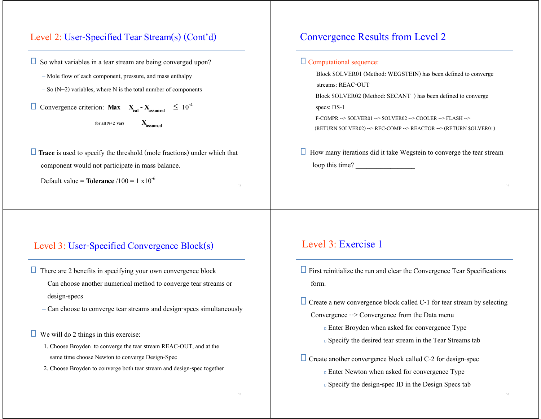### Level 2: User-Specified Tear Stream(s) (Cont'd)

- $\Box$  So what variables in a tear stream are being converged upon?
	- Mole flow of each component, pressure, and mass enthalpy
	- $-$  So (N+2) variables, where N is the total number of components
- **Convergence criterion: Max**  $X_{cal} X_{assumed}$   $\leq 10^{-4}$ **f**or all N+2 vars  $\qquad$  **X** assumed
- **Trace** is used to specify the threshold (mole fractions) under which that component would not participate in mass balance.

Default value = **Tolerance** /100 = 1 x10-<sup>6</sup>

# Convergence Results from Level 2

#### Computational sequence:

 Block \$OLVER01 (Method: WEGSTEIN) has been defined to converge streams: REAC-OUT Block \$OLVER02 (Method: SECANT ) has been defined to converge specs: DS-1 F-COMPR --> \$OLVER01 --> \$OLVER02 --> COOLER --> FLASH --> (RETURN \$OLVER02) --> REC-COMP --> REACTOR --> (RETURN \$OLVER01)

 $\Box$  How many iterations did it take Wegstein to converge the tear stream loop this time?

#### Level 3: User-Specified Convergence Block(s)

- $\Box$  There are 2 benefits in specifying your own convergence block
	- Can choose another numerical method to converge tear streams or design-specs
	- Can choose to converge tear streams and design-specs simultaneously
- We will do 2 things in this exercise:
	- 1. Choose Broyden to converge the tear stream REAC-OUT, and at the same time choose Newton to converge Design-Spec
	- 2. Choose Broyden to converge both tear stream and design-spec together

#### Level 3: Exercise 1

- $\Box$  First reinitialize the run and clear the Convergence Tear Specifications form.
- $\Box$  Create a new convergence block called C-1 for tear stream by selecting Convergence --> Convergence from the Data menu
	- Enter Broyden when asked for convergence Type
	- Specify the desired tear stream in the Tear Streams tab
- $\Box$  Create another convergence block called C-2 for design-spec
	- Enter Newton when asked for convergence Type
	- Specify the design-spec ID in the Design Specs tab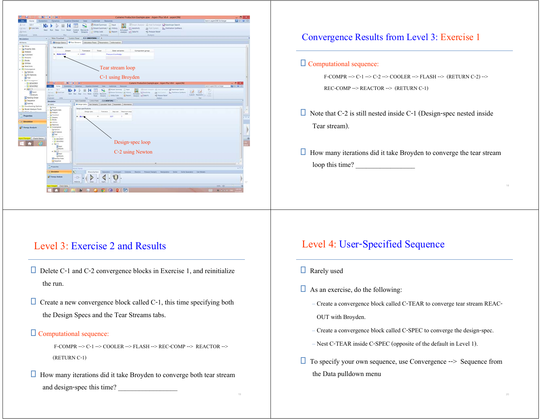| N-<br>н                                                 | $b = 14$                                      | Cumene Production Example.apw - Aspen Plus VB.4 - aspenONE                                                                                                                             | $-01$            |  |  |  |  |  |  |
|---------------------------------------------------------|-----------------------------------------------|----------------------------------------------------------------------------------------------------------------------------------------------------------------------------------------|------------------|--|--|--|--|--|--|
| Home<br>fermemex                                        | Equation Oriented<br><b>Dynamics</b>          | Search aspenONE Exchange<br>View<br>Cuttorize - Finouvers                                                                                                                              | <b>Ele w B</b>   |  |  |  |  |  |  |
| $US-1$<br>×<br>A Dr.                                    |                                               | Model Summary   Piput<br>Chimam Analysis: 62 Heat Exchanger & Azectope Search                                                                                                          |                  |  |  |  |  |  |  |
| <b>Q</b> +Unit Sett<br><b>DOW!</b>                      |                                               | Si Street Summary · W History<br>Serectivity<br>LA First System B. Distillation Systhesis                                                                                              |                  |  |  |  |  |  |  |
| 25 Parke                                                | Next Plan Step                                | <b>Sizz: Kevet Control Recordie</b><br>Activated<br>Utility Costs<br><b>El Report</b><br>Analysis of Data Fit<br><b. pressure="" relief<br=""><b>Streams</b><br/>Panel.</b.>           |                  |  |  |  |  |  |  |
| Cipboard<br>Lists:                                      | <b>Burt</b>                                   | <b>Analysis</b><br>Summary                                                                                                                                                             |                  |  |  |  |  |  |  |
| ٠<br>Simulation                                         |                                               | Main Flowsheet - Control Panel - C-1 (BROYDEN) - +                                                                                                                                     |                  |  |  |  |  |  |  |
| All herrs                                               | $\sim$                                        | O Design Specs   O Tear Stream   Calculator Team   Parameters   Information                                                                                                            |                  |  |  |  |  |  |  |
| <b>Dig Setup</b>                                        |                                               |                                                                                                                                                                                        |                  |  |  |  |  |  |  |
| > Eg Property Sets                                      | Tear streams                                  |                                                                                                                                                                                        |                  |  |  |  |  |  |  |
| Analysis                                                | Stream                                        | Tolerance<br>Trace<br>State variatives<br>Component group                                                                                                                              |                  |  |  |  |  |  |  |
| <b>Dig Ficrostreet</b>                                  | <b>&gt; REAC-OUT</b>                          | $-0.0001$<br><b>Pressure &amp; enthinizy</b>                                                                                                                                           |                  |  |  |  |  |  |  |
| <b>D. C. Streams</b>                                    |                                               |                                                                                                                                                                                        |                  |  |  |  |  |  |  |
| $+23$ Blocks<br><b>Ca</b> Utilities                     |                                               |                                                                                                                                                                                        |                  |  |  |  |  |  |  |
| <b>Bractions</b>                                        |                                               |                                                                                                                                                                                        |                  |  |  |  |  |  |  |
| <b>A Z</b> Convergence                                  |                                               | Tear stream loop                                                                                                                                                                       |                  |  |  |  |  |  |  |
| + Eg Options                                            |                                               |                                                                                                                                                                                        |                  |  |  |  |  |  |  |
| + La to Options                                         |                                               |                                                                                                                                                                                        |                  |  |  |  |  |  |  |
| g) Tear                                                 |                                               | C-1 using Broyden                                                                                                                                                                      |                  |  |  |  |  |  |  |
| 4 <b>Pr</b> Convergence                                 | N.                                            | $P = H$                                                                                                                                                                                |                  |  |  |  |  |  |  |
| <b>1 D's SOLVERDS</b><br>+ D's SOLVEROU                 | <b>Roman</b>                                  | Cumerie Production Example.apw - Aspen Plus VII.4 - aspenCNE<br>Sent happening Systems<br>Commission<br><b><i><u>Relations</u></i></b><br><b>Christmas</b>                             | - 8 ×<br>图 = # 日 |  |  |  |  |  |  |
| $-28C-1$                                                | $35 - 1$                                      | <b>Equation Diversed</b><br><b>Viru</b>                                                                                                                                                |                  |  |  |  |  |  |  |
| a) Input                                                | $B = 14.$<br><b>Quincy: Platies</b>           | Minist Symboy (2) hast<br>Witness Announce all Heal Enforced N. Amstrope Search<br>÷<br>咽<br>Scheen Sunmary - all History<br>EZ)<br><b>ISSeabury</b><br>15 Harrison Distinguis Systems |                  |  |  |  |  |  |  |
| <b>B</b> Results                                        | <b>Supple</b><br>25 Felter                    | Reset Control Recording<br><b>HALL</b><br>Activated<br>Culum Parametro T. Core<br>Chinary Com . El Report Analysis (CD Par Fit.)<br>of Avenue Felix!<br>Fared   Streams                |                  |  |  |  |  |  |  |
| Alesting Order                                          | Ciptoint<br>Outs                              | Post.<br>Analysis                                                                                                                                                                      |                  |  |  |  |  |  |  |
| <b>El Sequence</b>                                      | m.<br><b>Simulation</b>                       | Man Fourteet -   Control Faret - 2-2 (NEWTON) :   +                                                                                                                                    |                  |  |  |  |  |  |  |
| (a) Scaling                                             | All farms                                     | O Design Spect Tage Streams   Calculator Team   Parameters   Information                                                                                                               |                  |  |  |  |  |  |  |
| > E's Flowsheeting Options<br>- To Model Analysis Tools | <b>Ca</b> Setua                               | Design specifications                                                                                                                                                                  |                  |  |  |  |  |  |  |
| the external                                            | <b>Co</b> Property Sets<br><b>Ca Analytis</b> | / Maximum steel<br>Design spec<br>Tolerance.<br>Step size                                                                                                                              |                  |  |  |  |  |  |  |
| Properties                                              | <b>Ca Finanteet</b>                           | size                                                                                                                                                                                   |                  |  |  |  |  |  |  |
|                                                         | <b>C3 Streams</b><br><b>C's Buicks</b>        | 341<br>$-0.1$                                                                                                                                                                          |                  |  |  |  |  |  |  |
| <b>Dig Smalation</b>                                    | Ca Utilities                                  |                                                                                                                                                                                        |                  |  |  |  |  |  |  |
|                                                         | <b>Ca</b> Reactions                           |                                                                                                                                                                                        |                  |  |  |  |  |  |  |
| & P Energy Analysis                                     | · in Convergence<br>> Ca Options              |                                                                                                                                                                                        |                  |  |  |  |  |  |  |
|                                                         | > Eg to oytow                                 |                                                                                                                                                                                        |                  |  |  |  |  |  |  |
|                                                         | Gi <sup>7ear</sup>                            |                                                                                                                                                                                        |                  |  |  |  |  |  |  |
| ut Changed Check Status                                 | . 25 Consequents<br><b>ES SOCIETE</b>         |                                                                                                                                                                                        |                  |  |  |  |  |  |  |
|                                                         | + DS SOUVINGS                                 |                                                                                                                                                                                        |                  |  |  |  |  |  |  |
|                                                         | $+$ Eg Cit.<br>$\frac{1}{2}$ liqué            | Design-spec loop                                                                                                                                                                       |                  |  |  |  |  |  |  |
|                                                         | $2$ <sup>tesn</sup>                           |                                                                                                                                                                                        |                  |  |  |  |  |  |  |
|                                                         | $+5804-$                                      | C-2 using Newton                                                                                                                                                                       |                  |  |  |  |  |  |  |
|                                                         | <b>Kirest</b><br>$2$ Amazo                    |                                                                                                                                                                                        |                  |  |  |  |  |  |  |
|                                                         | To Newting Orcher                             |                                                                                                                                                                                        |                  |  |  |  |  |  |  |
|                                                         | Ca Sequence                                   |                                                                                                                                                                                        |                  |  |  |  |  |  |  |
|                                                         |                                               |                                                                                                                                                                                        |                  |  |  |  |  |  |  |
|                                                         | Properties                                    | <b>Bullet Fight</b>                                                                                                                                                                    | $+1.$            |  |  |  |  |  |  |
|                                                         | <b>CEMANIA</b>                                | ×.<br>Echingen : Column - Realize - Permet Danger: Marquisition - Solite - Solid Separator: Unit Models<br>Missing Tachthern                                                           |                  |  |  |  |  |  |  |
|                                                         |                                               |                                                                                                                                                                                        |                  |  |  |  |  |  |  |
|                                                         |                                               |                                                                                                                                                                                        |                  |  |  |  |  |  |  |
|                                                         | <b>AV Energy Analysis</b>                     | $-$ TH                                                                                                                                                                                 |                  |  |  |  |  |  |  |
|                                                         |                                               | Material.<br>Plastik<br><b>SSAD</b><br>Miam                                                                                                                                            |                  |  |  |  |  |  |  |
|                                                         | <b>Project Check Status</b>                   |                                                                                                                                                                                        |                  |  |  |  |  |  |  |
|                                                         |                                               | AB<br>$\begin{array}{c} \n\bullet & \bullet & \circ \end{array}$                                                                                                                       | 17               |  |  |  |  |  |  |

## Convergence Results from Level 3: Exercise 1

#### Computational sequence:

F-COMPR --> C-1 --> C-2 --> COOLER --> FLASH --> (RETURN C-2) --> REC-COMP --> REACTOR --> (RETURN C-1)

- $\Box$  Note that C-2 is still nested inside C-1 (Design-spec nested inside Tear stream).
- $\Box$  How many iterations did it take Broyden to converge the tear stream loop this time?

# Level 3: Exercise 2 and Results

- Delete C-1 and C-2 convergence blocks in Exercise 1, and reinitialize the run.
- $\Box$  Create a new convergence block called C-1, this time specifying both the Design Specs and the Tear Streams tabs.

#### Computational sequence:

F-COMPR --> C-1 --> COOLER --> FLASH --> REC-COMP --> REACTOR --> (RETURN C-1)

 $\Box$  How many iterations did it take Broyden to converge both tear stream and design-spec this time?

## Level 4: User-Specified Sequence

- $\Box$  Rarely used
- $\Box$  As an exercise, do the following:
	- Create a convergence block called C-TEAR to converge tear stream REAC-
	- OUT with Broyden.
	- Create a convergence block called C-SPEC to converge the design-spec.
	- Nest C-TEAR inside C-SPEC (opposite of the default in Level 1).
- $\Box$  To specify your own sequence, use Convergence  $\rightarrow$  Sequence from the Data pulldown menu